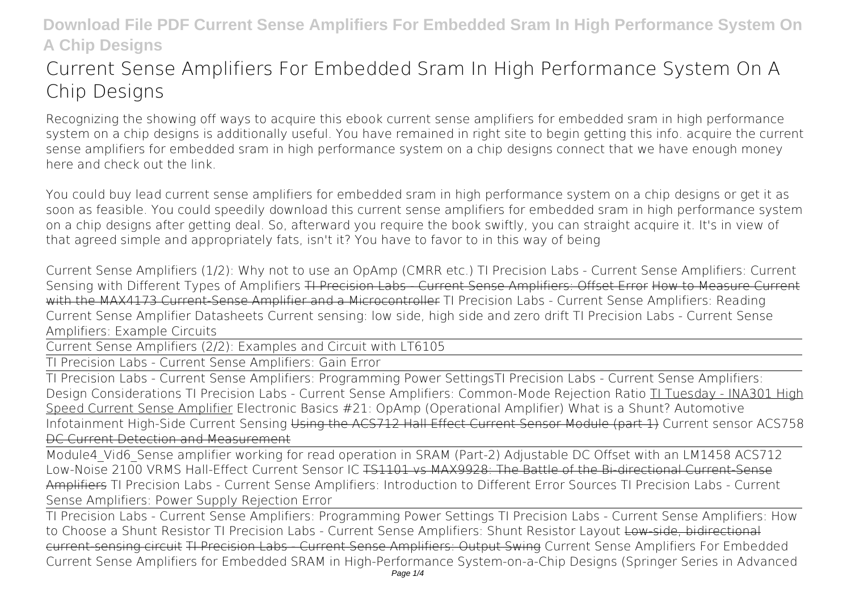# **Current Sense Amplifiers For Embedded Sram In High Performance System On A Chip Designs**

Recognizing the showing off ways to acquire this ebook **current sense amplifiers for embedded sram in high performance system on a chip designs** is additionally useful. You have remained in right site to begin getting this info. acquire the current sense amplifiers for embedded sram in high performance system on a chip designs connect that we have enough money here and check out the link.

You could buy lead current sense amplifiers for embedded sram in high performance system on a chip designs or get it as soon as feasible. You could speedily download this current sense amplifiers for embedded sram in high performance system on a chip designs after getting deal. So, afterward you require the book swiftly, you can straight acquire it. It's in view of that agreed simple and appropriately fats, isn't it? You have to favor to in this way of being

**Current Sense Amplifiers (1/2): Why not to use an OpAmp (CMRR etc.)** *TI Precision Labs - Current Sense Amplifiers: Current Sensing with Different Types of Amplifiers* TI Precision Labs - Current Sense Amplifiers: Offset Error How to Measure Current with the MAX4173 Current-Sense Amplifier and a Microcontroller TI Precision Labs - Current Sense Amplifiers: Reading Current Sense Amplifier Datasheets *Current sensing: low side, high side and zero drift* TI Precision Labs - Current Sense Amplifiers: Example Circuits

Current Sense Amplifiers (2/2): Examples and Circuit with LT6105

TI Precision Labs - Current Sense Amplifiers: Gain Error

TI Precision Labs - Current Sense Amplifiers: Programming Power Settings*TI Precision Labs - Current Sense Amplifiers: Design Considerations TI Precision Labs - Current Sense Amplifiers: Common-Mode Rejection Ratio* TI Tuesday - INA301 High Speed Current Sense Amplifier *Electronic Basics #21: OpAmp (Operational Amplifier)* **What is a Shunt?** *Automotive Infotainment High-Side Current Sensing* Using the ACS712 Hall Effect Current Sensor Module (part 1) *Current sensor ACS758* DC Current Detection and Measurement

Module4\_Vid6\_Sense amplifier working for read operation in SRAM (Part-2) Adjustable DC Offset with an LM1458 **ACS712** Low-Noise 2100 VRMS Hall-Effect Current Sensor IC <del>TS1101 vs MAX9928: The Battle of the Bi-directional Current-Sense</del> Amplifiers **TI Precision Labs - Current Sense Amplifiers: Introduction to Different Error Sources TI Precision Labs - Current Sense Amplifiers: Power Supply Rejection Error**

TI Precision Labs - Current Sense Amplifiers: Programming Power Settings TI Precision Labs - Current Sense Amplifiers: How to Choose a Shunt Resistor TI Precision Labs - Current Sense Amplifiers: Shunt Resistor Layout Low-side, bidirectional current-sensing circuit TI Precision Labs - Current Sense Amplifiers: Output Swing *Current Sense Amplifiers For Embedded* Current Sense Amplifiers for Embedded SRAM in High-Performance System-on-a-Chip Designs (Springer Series in Advanced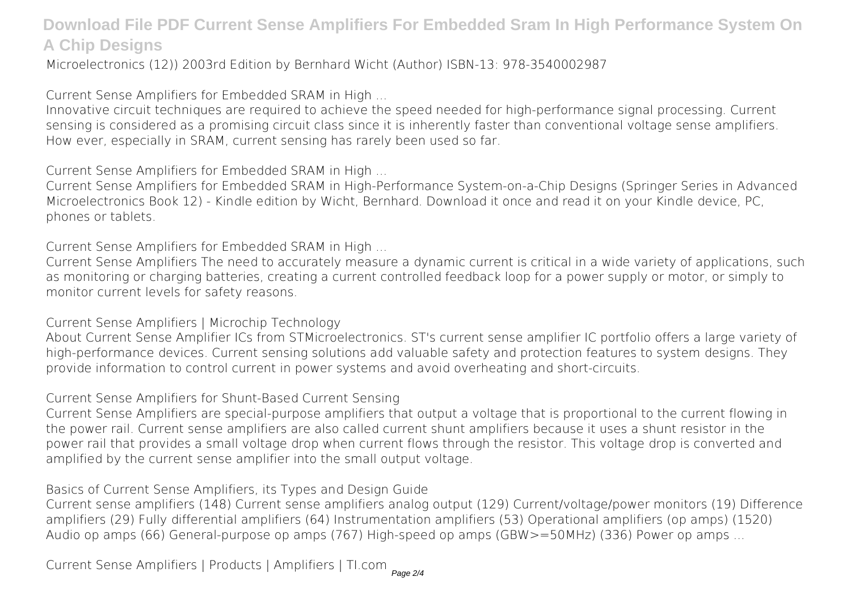Microelectronics (12)) 2003rd Edition by Bernhard Wicht (Author) ISBN-13: 978-3540002987

*Current Sense Amplifiers for Embedded SRAM in High ...*

Innovative circuit techniques are required to achieve the speed needed for high-performance signal processing. Current sensing is considered as a promising circuit class since it is inherently faster than conventional voltage sense amplifiers. How ever, especially in SRAM, current sensing has rarely been used so far.

*Current Sense Amplifiers for Embedded SRAM in High ...*

Current Sense Amplifiers for Embedded SRAM in High-Performance System-on-a-Chip Designs (Springer Series in Advanced Microelectronics Book 12) - Kindle edition by Wicht, Bernhard. Download it once and read it on your Kindle device, PC, phones or tablets.

*Current Sense Amplifiers for Embedded SRAM in High ...*

Current Sense Amplifiers The need to accurately measure a dynamic current is critical in a wide variety of applications, such as monitoring or charging batteries, creating a current controlled feedback loop for a power supply or motor, or simply to monitor current levels for safety reasons.

*Current Sense Amplifiers | Microchip Technology*

About Current Sense Amplifier ICs from STMicroelectronics. ST's current sense amplifier IC portfolio offers a large variety of high-performance devices. Current sensing solutions add valuable safety and protection features to system designs. They provide information to control current in power systems and avoid overheating and short-circuits.

*Current Sense Amplifiers for Shunt-Based Current Sensing*

Current Sense Amplifiers are special-purpose amplifiers that output a voltage that is proportional to the current flowing in the power rail. Current sense amplifiers are also called current shunt amplifiers because it uses a shunt resistor in the power rail that provides a small voltage drop when current flows through the resistor. This voltage drop is converted and amplified by the current sense amplifier into the small output voltage.

*Basics of Current Sense Amplifiers, its Types and Design Guide*

Current sense amplifiers (148) Current sense amplifiers analog output (129) Current/voltage/power monitors (19) Difference amplifiers (29) Fully differential amplifiers (64) Instrumentation amplifiers (53) Operational amplifiers (op amps) (1520) Audio op amps (66) General-purpose op amps (767) High-speed op amps (GBW>=50MHz) (336) Power op amps ...

*Current Sense Amplifiers | Products | Amplifiers | TI.com*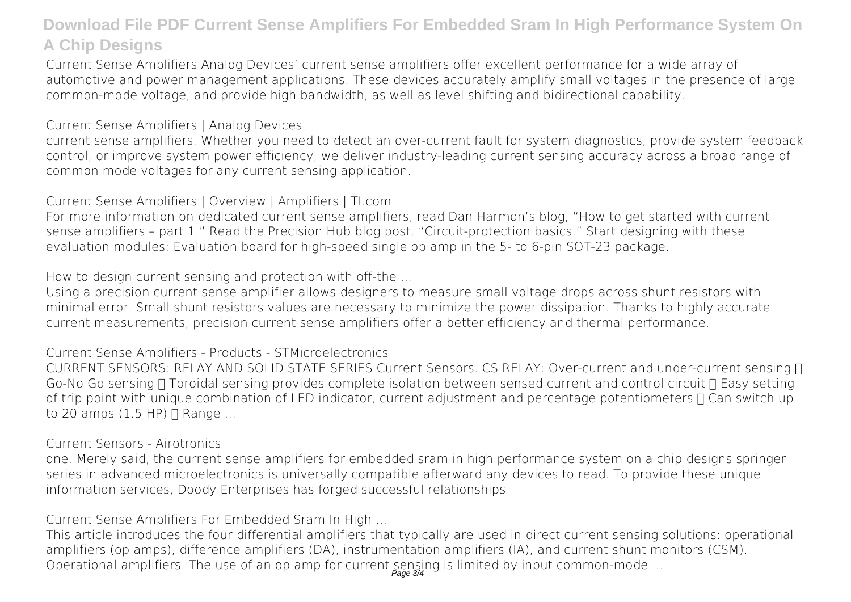Current Sense Amplifiers Analog Devices' current sense amplifiers offer excellent performance for a wide array of automotive and power management applications. These devices accurately amplify small voltages in the presence of large common-mode voltage, and provide high bandwidth, as well as level shifting and bidirectional capability.

*Current Sense Amplifiers | Analog Devices*

current sense amplifiers. Whether you need to detect an over-current fault for system diagnostics, provide system feedback control, or improve system power efficiency, we deliver industry-leading current sensing accuracy across a broad range of common mode voltages for any current sensing application.

*Current Sense Amplifiers | Overview | Amplifiers | TI.com*

For more information on dedicated current sense amplifiers, read Dan Harmon's blog, "How to get started with current sense amplifiers – part 1." Read the Precision Hub blog post, "Circuit-protection basics." Start designing with these evaluation modules: Evaluation board for high-speed single op amp in the 5- to 6-pin SOT-23 package.

*How to design current sensing and protection with off-the ...*

Using a precision current sense amplifier allows designers to measure small voltage drops across shunt resistors with minimal error. Small shunt resistors values are necessary to minimize the power dissipation. Thanks to highly accurate current measurements, precision current sense amplifiers offer a better efficiency and thermal performance.

*Current Sense Amplifiers - Products - STMicroelectronics*

CURRENT SENSORS: RELAY AND SOLID STATE SERIES Current Sensors. CS RELAY: Over-current and under-current sensing [] Go-No Go sensing  $\Pi$  Toroidal sensing provides complete isolation between sensed current and control circuit  $\Pi$  Easy setting of trip point with unique combination of LED indicator, current adjustment and percentage potentiometers  $\Pi$  Can switch up to 20 amps  $(1.5$  HP)  $\Pi$  Range ...

#### *Current Sensors - Airotronics*

one. Merely said, the current sense amplifiers for embedded sram in high performance system on a chip designs springer series in advanced microelectronics is universally compatible afterward any devices to read. To provide these unique information services, Doody Enterprises has forged successful relationships

*Current Sense Amplifiers For Embedded Sram In High ...*

This article introduces the four differential amplifiers that typically are used in direct current sensing solutions: operational amplifiers (op amps), difference amplifiers (DA), instrumentation amplifiers (IA), and current shunt monitors (CSM). Operational amplifiers. The use of an op amp for current sensing is limited by input common-mode ...